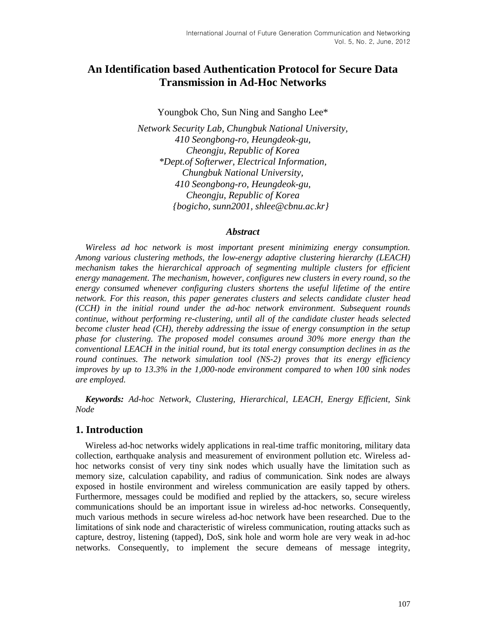# **An Identification based Authentication Protocol for Secure Data Transmission in Ad-Hoc Networks**

Youngbok Cho, Sun Ning and Sangho Lee\*

*Network Security Lab, Chungbuk National University, 410 Seongbong-ro, Heungdeok-gu, Cheongju, Republic of Korea \*Dept.of Softerwer, Electrical Information, Chungbuk National University, 410 Seongbong-ro, Heungdeok-gu, Cheongju, Republic of Korea {bogicho, sunn2001, shlee@cbnu.ac.kr}*

# *Abstract*

*Wireless ad hoc network is most important present minimizing energy consumption. Among various clustering methods, the low-energy adaptive clustering hierarchy (LEACH) mechanism takes the hierarchical approach of segmenting multiple clusters for efficient energy management. The mechanism, however, configures new clusters in every round, so the energy consumed whenever configuring clusters shortens the useful lifetime of the entire network. For this reason, this paper generates clusters and selects candidate cluster head (CCH) in the initial round under the ad-hoc network environment. Subsequent rounds continue, without performing re-clustering, until all of the candidate cluster heads selected become cluster head (CH), thereby addressing the issue of energy consumption in the setup phase for clustering. The proposed model consumes around 30% more energy than the conventional LEACH in the initial round, but its total energy consumption declines in as the round continues. The network simulation tool (NS-2) proves that its energy efficiency improves by up to 13.3% in the 1,000-node environment compared to when 100 sink nodes are employed.*

*Keywords: Ad-hoc Network, Clustering, Hierarchical, LEACH, Energy Efficient, Sink Node*

# **1. Introduction**

Wireless ad-hoc networks widely applications in real-time traffic monitoring, military data collection, earthquake analysis and measurement of environment pollution etc. Wireless adhoc networks consist of very tiny sink nodes which usually have the limitation such as memory size, calculation capability, and radius of communication. Sink nodes are always exposed in hostile environment and wireless communication are easily tapped by others. Furthermore, messages could be modified and replied by the attackers, so, secure wireless communications should be an important issue in wireless ad-hoc networks. Consequently, much various methods in secure wireless ad-hoc network have been researched. Due to the limitations of sink node and characteristic of wireless communication, routing attacks such as capture, destroy, listening (tapped), DoS, sink hole and worm hole are very weak in ad-hoc networks. Consequently, to implement the secure demeans of message integrity,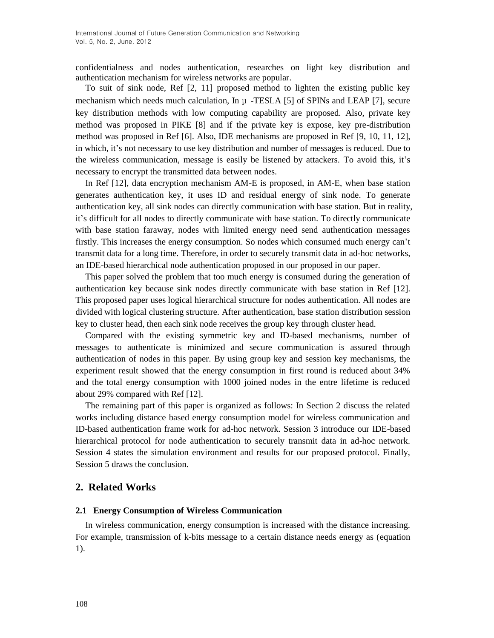confidentialness and nodes authentication, researches on light key distribution and authentication mechanism for wireless networks are popular.

To suit of sink node, Ref [2, 11] proposed method to lighten the existing public key mechanism which needs much calculation, In μ -TESLA [5] of SPINs and LEAP [7], secure key distribution methods with low computing capability are proposed. Also, private key method was proposed in PIKE [8] and if the private key is expose, key pre-distribution method was proposed in Ref [6]. Also, IDE mechanisms are proposed in Ref [9, 10, 11, 12], in which, it's not necessary to use key distribution and number of messages is reduced. Due to the wireless communication, message is easily be listened by attackers. To avoid this, it's necessary to encrypt the transmitted data between nodes.

In Ref [12], data encryption mechanism AM-E is proposed, in AM-E, when base station generates authentication key, it uses ID and residual energy of sink node. To generate authentication key, all sink nodes can directly communication with base station. But in reality, it's difficult for all nodes to directly communicate with base station. To directly communicate with base station faraway, nodes with limited energy need send authentication messages firstly. This increases the energy consumption. So nodes which consumed much energy can't transmit data for a long time. Therefore, in order to securely transmit data in ad-hoc networks, an IDE-based hierarchical node authentication proposed in our proposed in our paper.

This paper solved the problem that too much energy is consumed during the generation of authentication key because sink nodes directly communicate with base station in Ref [12]. This proposed paper uses logical hierarchical structure for nodes authentication. All nodes are divided with logical clustering structure. After authentication, base station distribution session key to cluster head, then each sink node receives the group key through cluster head.

Compared with the existing symmetric key and ID-based mechanisms, number of messages to authenticate is minimized and secure communication is assured through authentication of nodes in this paper. By using group key and session key mechanisms, the experiment result showed that the energy consumption in first round is reduced about 34% and the total energy consumption with 1000 joined nodes in the entre lifetime is reduced about 29% compared with Ref [12].

The remaining part of this paper is organized as follows: In Section 2 discuss the related works including distance based energy consumption model for wireless communication and ID-based authentication frame work for ad-hoc network. Session 3 introduce our IDE-based hierarchical protocol for node authentication to securely transmit data in ad-hoc network. Session 4 states the simulation environment and results for our proposed protocol. Finally, Session 5 draws the conclusion.

# **2. Related Works**

### **2.1 Energy Consumption of Wireless Communication**

In wireless communication, energy consumption is increased with the distance increasing. For example, transmission of k-bits message to a certain distance needs energy as (equation 1).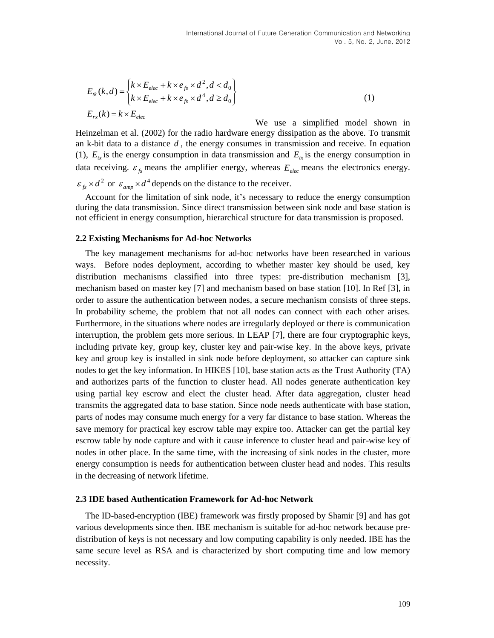$$
E_{tk}(k,d) = \begin{cases} k \times E_{elec} + k \times e_{fs} \times d^2, d < d_0 \\ k \times E_{elec} + k \times e_{fs} \times d^4, d \ge d_0 \end{cases}
$$
\n
$$
E_{rx}(k) = k \times E_{elec}
$$
\n
$$
(1)
$$

We use a simplified model shown in Heinzelman et al. (2002) for the radio hardware energy dissipation as the above. To transmit an k-bit data to a distance *d* , the energy consumes in transmission and receive. In equation (1),  $E_{tx}$  is the energy consumption in data transmission and  $E_{tx}$  is the energy consumption in data receiving.  $\varepsilon_{fs}$  means the amplifier energy, whereas  $E_{elec}$  means the electronics energy.

 $\varepsilon_{fs} \times d^2$  or  $\varepsilon_{amp} \times d^4$  depends on the distance to the receiver.

Account for the limitation of sink node, it's necessary to reduce the energy consumption during the data transmission. Since direct transmission between sink node and base station is not efficient in energy consumption, hierarchical structure for data transmission is proposed.

#### **2.2 Existing Mechanisms for Ad-hoc Networks**

The key management mechanisms for ad-hoc networks have been researched in various ways. Before nodes deployment, according to whether master key should be used, key distribution mechanisms classified into three types: pre-distribution mechanism [3], mechanism based on master key [7] and mechanism based on base station [10]. In Ref [3], in order to assure the authentication between nodes, a secure mechanism consists of three steps. In probability scheme, the problem that not all nodes can connect with each other arises. Furthermore, in the situations where nodes are irregularly deployed or there is communication interruption, the problem gets more serious. In LEAP [7], there are four cryptographic keys, including private key, group key, cluster key and pair-wise key. In the above keys, private key and group key is installed in sink node before deployment, so attacker can capture sink nodes to get the key information. In HIKES [10], base station acts as the Trust Authority (TA) and authorizes parts of the function to cluster head. All nodes generate authentication key using partial key escrow and elect the cluster head. After data aggregation, cluster head transmits the aggregated data to base station. Since node needs authenticate with base station, parts of nodes may consume much energy for a very far distance to base station. Whereas the save memory for practical key escrow table may expire too. Attacker can get the partial key escrow table by node capture and with it cause inference to cluster head and pair-wise key of nodes in other place. In the same time, with the increasing of sink nodes in the cluster, more energy consumption is needs for authentication between cluster head and nodes. This results in the decreasing of network lifetime.

#### **2.3 IDE based Authentication Framework for Ad-hoc Network**

The ID-based-encryption (IBE) framework was firstly proposed by Shamir [9] and has got various developments since then. IBE mechanism is suitable for ad-hoc network because predistribution of keys is not necessary and low computing capability is only needed. IBE has the same secure level as RSA and is characterized by short computing time and low memory necessity.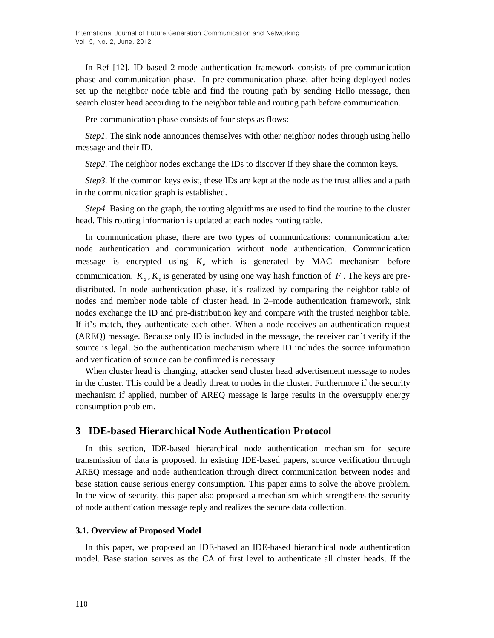In Ref [12], ID based 2-mode authentication framework consists of pre-communication phase and communication phase. In pre-communication phase, after being deployed nodes set up the neighbor node table and find the routing path by sending Hello message, then search cluster head according to the neighbor table and routing path before communication.

Pre-communication phase consists of four steps as flows:

*Step1*. The sink node announces themselves with other neighbor nodes through using hello message and their ID.

*Step2*. The neighbor nodes exchange the IDs to discover if they share the common keys.

*Step3.* If the common keys exist, these IDs are kept at the node as the trust allies and a path in the communication graph is established.

*Step4.* Basing on the graph, the routing algorithms are used to find the routine to the cluster head. This routing information is updated at each nodes routing table.

In communication phase, there are two types of communications: communication after node authentication and communication without node authentication. Communication message is encrypted using  $K_e$  which is generated by MAC mechanism before communication.  $K_a$ ,  $K_e$  is generated by using one way hash function of F. The keys are predistributed. In node authentication phase, it's realized by comparing the neighbor table of nodes and member node table of cluster head. In 2–mode authentication framework, sink nodes exchange the ID and pre-distribution key and compare with the trusted neighbor table. If it's match, they authenticate each other. When a node receives an authentication request (AREQ) message. Because only ID is included in the message, the receiver can't verify if the source is legal. So the authentication mechanism where ID includes the source information and verification of source can be confirmed is necessary.

When cluster head is changing, attacker send cluster head advertisement message to nodes in the cluster. This could be a deadly threat to nodes in the cluster. Furthermore if the security mechanism if applied, number of AREQ message is large results in the oversupply energy consumption problem.

# **3 IDE-based Hierarchical Node Authentication Protocol**

In this section, IDE-based hierarchical node authentication mechanism for secure transmission of data is proposed. In existing IDE-based papers, source verification through AREQ message and node authentication through direct communication between nodes and base station cause serious energy consumption. This paper aims to solve the above problem. In the view of security, this paper also proposed a mechanism which strengthens the security of node authentication message reply and realizes the secure data collection.

#### **3.1. Overview of Proposed Model**

In this paper, we proposed an IDE-based an IDE-based hierarchical node authentication model. Base station serves as the CA of first level to authenticate all cluster heads. If the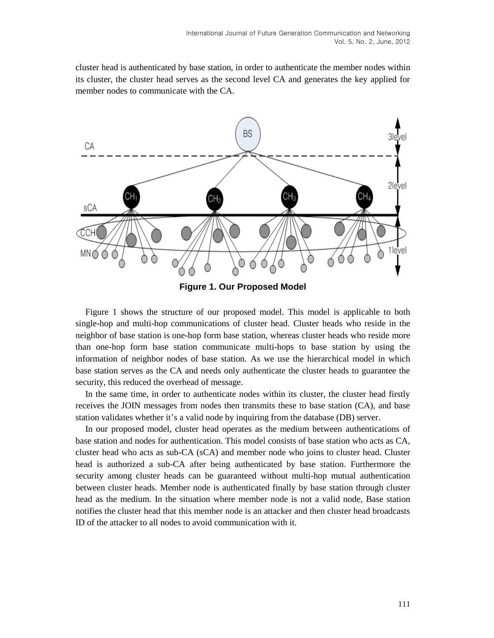cluster head is authenticated by base station, in order to authenticate the member nodes within its cluster, the cluster head serves as the second level CA and generates the key applied for member nodes to communicate with the CA.



Figure 1 shows the structure of our proposed model. This model is applicable to both single-hop and multi-hop communications of cluster head. Cluster heads who reside in the neighbor of base station is one-hop form base station, whereas cluster heads who reside more than one-hop form base station communicate multi-hops to base station by using the information of neighbor nodes of base station. As we use the hierarchical model in which base station serves as the CA and needs only authenticate the cluster heads to guarantee the security, this reduced the overhead of message.

In the same time, in order to authenticate nodes within its cluster, the cluster head firstly receives the JOIN messages from nodes then transmits these to base station (CA), and base station validates whether it's a valid node by inquiring from the database (DB) server.

In our proposed model, cluster head operates as the medium between authentications of base station and nodes for authentication. This model consists of base station who acts as CA, cluster head who acts as sub-CA (sCA) and member node who joins to cluster head. Cluster head is authorized a sub-CA after being authenticated by base station. Furthermore the security among cluster heads can be guaranteed without multi-hop mutual authentication between cluster heads. Member node is authenticated finally by base station through cluster head as the medium. In the situation where member node is not a valid node, Base station notifies the cluster head that this member node is an attacker and then cluster head broadcasts ID of the attacker to all nodes to avoid communication with it.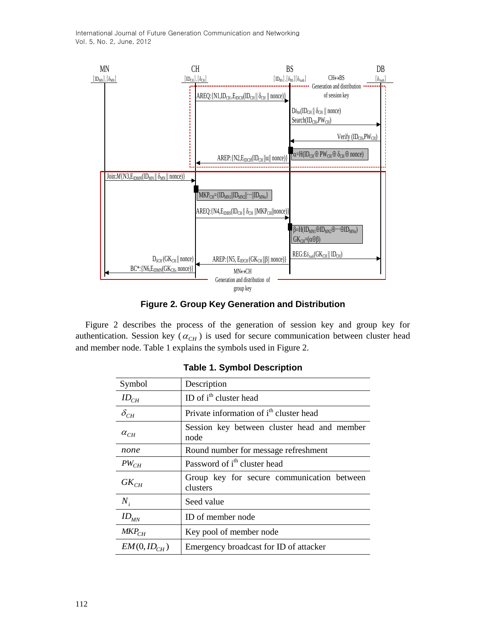International Journal of Future Generation Communication and Networking Vol. 5, No. 2, June, 2012



# **Figure 2. Group Key Generation and Distribution**

Figure 2 describes the process of the generation of session key and group key for authentication. Session key  $(\alpha_{CH})$  is used for secure communication between cluster head and member node. Table 1 explains the symbols used in Figure 2.

| Symbol           | Description                                            |
|------------------|--------------------------------------------------------|
| $ID_{CH}$        | ID of i <sup>th</sup> cluster head                     |
| $\delta_{CH}$    | Private information of i <sup>th</sup> cluster head    |
| $\alpha_{CH}$    | Session key between cluster head and member<br>node    |
| none             | Round number for message refreshment                   |
| $PW_{CH}$        | Password of i <sup>th</sup> cluster head               |
| $GK_{CH}$        | Group key for secure communication between<br>clusters |
| $N_i$            | Seed value                                             |
| $ID_{MN}$        | ID of member node                                      |
| $MKP_{CH}$       | Key pool of member node                                |
| $EM(0, ID_{CH})$ | Emergency broadcast for ID of attacker                 |

**Table 1. Symbol Description**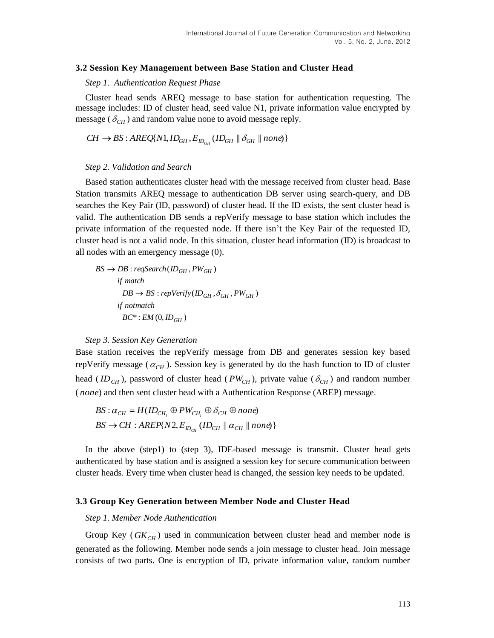#### **3.2 Session Key Management between Base Station and Cluster Head**

#### *Step 1. Authentication Request Phase*

Cluster head sends AREQ message to base station for authentication requesting. The message includes: ID of cluster head, seed value N1, private information value encrypted by message ( $\delta$ <sub>CH</sub>) and random value none to avoid message reply.

 $CH \rightarrow BS$ :  $AREQ[N1, ID<sub>GH</sub>, E<sub>ID<sub>CH</sub></sub> (ID<sub>GH</sub> || \delta<sub>GH</sub> || none)$ 

#### *Step 2. Validation and Search*

Based station authenticates cluster head with the message received from cluster head. Base Station transmits AREQ message to authentication DB server using search-query, and DB searches the Key Pair (ID, password) of cluster head. If the ID exists, the sent cluster head is valid. The authentication DB sends a repVerify message to base station which includes the private information of the requested node. If there isn't the Key Pair of the requested ID, cluster head is not a valid node. In this situation, cluster head information (ID) is broadcast to all nodes with an emergency message (0).

 $BC^*$ :  $EM(0, ID_{GH})$  $DB \rightarrow BS : repVerify(ID_{GH}, \delta_{GH}, PW_{GH})$  $BS \rightarrow DB : \text{reqSearch}(ID_{GH}, PW_{GH})$ *if notmatch if match*

#### *Step 3. Session Key Generation*

Base station receives the repVerify message from DB and generates session key based repVerify message  $(\alpha_{CH})$ . Session key is generated by do the hash function to ID of cluster head (*ID*<sub>CH</sub>), password of cluster head (*PW<sub>CH</sub>*), private value ( $\delta$ <sub>CH</sub>) and random number ( *none* ) and then sent cluster head with a Authentication Response (AREP) message.

$$
BS: \alpha_{CH} = H(ID_{CH_i} \oplus PW_{CH_i} \oplus \delta_{CH} \oplus none)
$$
  

$$
BS \rightarrow CH: AREP\{N2, E_{ID_{CH}} (ID_{CH} || \alpha_{CH} || none)\}
$$

In the above (step1) to (step 3), IDE-based message is transmit. Cluster head gets authenticated by base station and is assigned a session key for secure communication between cluster heads. Every time when cluster head is changed, the session key needs to be updated.

#### **3.3 Group Key Generation between Member Node and Cluster Head**

#### *Step 1. Member Node Authentication*

Group Key (*GK<sub>CH</sub>*) used in communication between cluster head and member node is generated as the following. Member node sends a join message to cluster head. Join message consists of two parts. One is encryption of ID, private information value, random number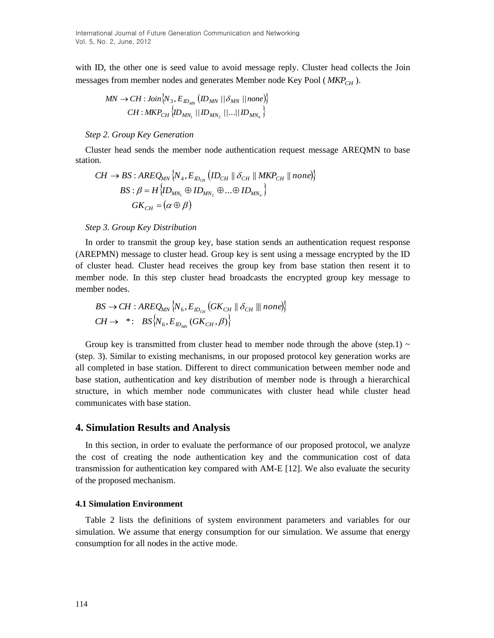with ID, the other one is seed value to avoid message reply. Cluster head collects the Join messages from member nodes and generates Member node Key Pool ( $\mathit{MKP}_{CH}$ ).

$$
MN \to CH : Join^{\{N_3\}}_{N_1, N_2, N_3} (ID_{MN} || \delta_{MN} || none) \}
$$
  
CH : MKP<sub>CH</sub>  $\{ID_{MN_1} || ID_{MN_2} ||...|| ID_{MN_n} \}$ 

# *Step 2. Group Key Generation*

Cluster head sends the member node authentication request message AREQMN to base station.

$$
CH \rightarrow BS : AREQ_{MN} \{N_4, E_{D_{CH}} (ID_{CH} \parallel \delta_{CH} \parallel MKP_{CH} \parallel none)\}
$$
  
\n
$$
BS : \beta = H \{ID_{MN_1} \oplus ID_{MN_2} \oplus ... \oplus ID_{MN_n}\}
$$
  
\n
$$
GK_{CH} = (\alpha \oplus \beta)
$$

# *Step 3. Group Key Distribution*

In order to transmit the group key, base station sends an authentication request response (AREPMN) message to cluster head. Group key is sent using a message encrypted by the ID of cluster head. Cluster head receives the group key from base station then resent it to member node. In this step cluster head broadcasts the encrypted group key message to member nodes.

$$
BS \to CH : AREQ_{MN} \langle N_6, E_{ID_{CH}} (GK_{CH} \parallel \delta_{CH} \parallel none) \rangle
$$
  
CH \to \*: BS{ $N_6, E_{ID_{MN}} (GK_{CH}, \beta)$ }

Group key is transmitted from cluster head to member node through the above (step.1)  $\sim$ (step. 3). Similar to existing mechanisms, in our proposed protocol key generation works are all completed in base station. Different to direct communication between member node and base station, authentication and key distribution of member node is through a hierarchical structure, in which member node communicates with cluster head while cluster head communicates with base station.

# **4. Simulation Results and Analysis**

In this section, in order to evaluate the performance of our proposed protocol, we analyze the cost of creating the node authentication key and the communication cost of data transmission for authentication key compared with AM-E [12]. We also evaluate the security of the proposed mechanism.

# **4.1 Simulation Environment**

Table 2 lists the definitions of system environment parameters and variables for our simulation. We assume that energy consumption for our simulation. We assume that energy consumption for all nodes in the active mode.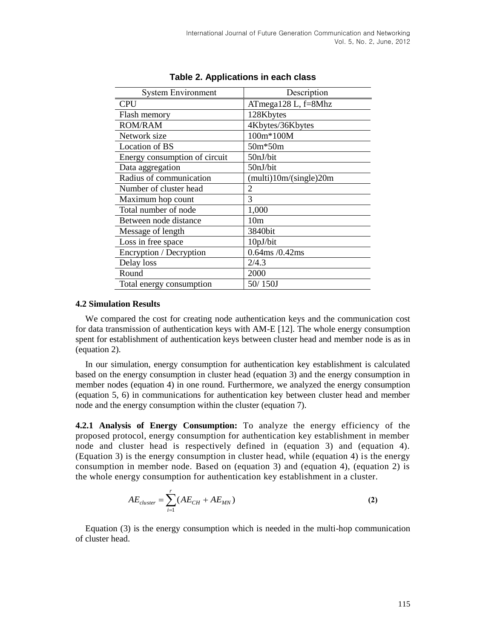| <b>System Environment</b>     | Description                        |
|-------------------------------|------------------------------------|
| <b>CPU</b>                    | ATmega128 L, f=8Mhz                |
| Flash memory                  | 128Kbytes                          |
| <b>ROM/RAM</b>                | 4Kbytes/36Kbytes                   |
| Network size                  | 100m*100M                          |
| Location of BS                | 50m*50m                            |
| Energy consumption of circuit | 50nJ/bit                           |
| Data aggregation              | 50nJ/bit                           |
| Radius of communication       | (multi)10m/(single)20m             |
| Number of cluster head        | 2                                  |
| Maximum hop count             | 3                                  |
| Total number of node          | 1,000                              |
| Between node distance         | 10 <sub>m</sub>                    |
| Message of length             | 3840bit                            |
| Loss in free space            | 10pJ/bit                           |
| Encryption / Decryption       | $0.64 \text{ms}$ /0.42 $\text{ms}$ |
| Delay loss                    | 2/4.3                              |
| Round                         | 2000                               |
| Total energy consumption      | 50/150J                            |

**Table 2. Applications in each class**

#### **4.2 Simulation Results**

We compared the cost for creating node authentication keys and the communication cost for data transmission of authentication keys with AM-E [12]. The whole energy consumption spent for establishment of authentication keys between cluster head and member node is as in (equation 2).

In our simulation, energy consumption for authentication key establishment is calculated based on the energy consumption in cluster head (equation 3) and the energy consumption in member nodes (equation 4) in one round. Furthermore, we analyzed the energy consumption (equation 5, 6) in communications for authentication key between cluster head and member node and the energy consumption within the cluster (equation 7).

**4.2.1 Analysis of Energy Consumption:** To analyze the energy efficiency of the proposed protocol, energy consumption for authentication key establishment in member node and cluster head is respectively defined in (equation 3) and (equation 4). (Equation 3) is the energy consumption in cluster head, while (equation 4) is the energy consumption in member node. Based on (equation 3) and (equation 4), (equation 2) is the whole energy consumption for authentication key establishment in a cluster.

$$
AE_{cluster} = \sum_{i=1}^{r} (AE_{CH} + AE_{MN})
$$
 (2)

Equation (3) is the energy consumption which is needed in the multi-hop communication of cluster head.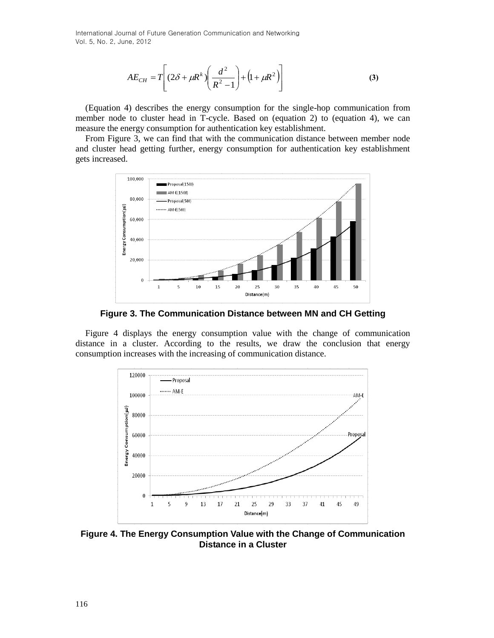International Journal of Future Generation Communication and Networking Vol. 5, No. 2, June, 2012

$$
AE_{CH} = T \left[ (2\delta + \mu R^k) \left( \frac{d^2}{R^2 - 1} \right) + (1 + \mu R^2) \right]
$$
 (3)

(Equation 4) describes the energy consumption for the single-hop communication from member node to cluster head in T-cycle. Based on (equation 2) to (equation 4), we can measure the energy consumption for authentication key establishment.

From Figure 3, we can find that with the communication distance between member node and cluster head getting further, energy consumption for authentication key establishment gets increased.



**Figure 3. The Communication Distance between MN and CH Getting**

Figure 4 displays the energy consumption value with the change of communication distance in a cluster. According to the results, we draw the conclusion that energy consumption increases with the increasing of communication distance.



**Figure 4. The Energy Consumption Value with the Change of Communication Distance in a Cluster**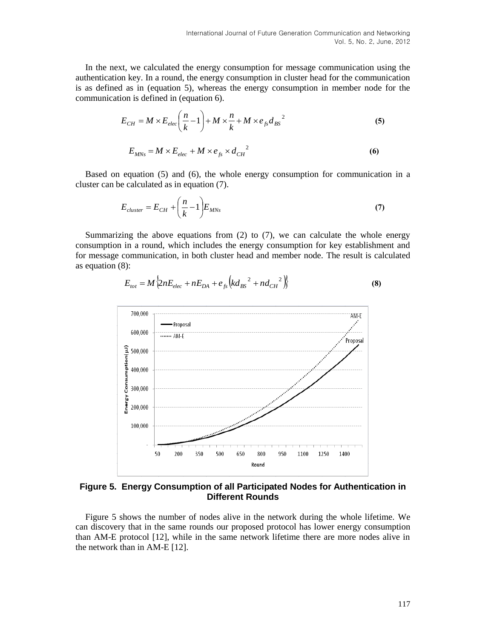In the next, we calculated the energy consumption for message communication using the authentication key. In a round, the energy consumption in cluster head for the communication is as defined as in (equation 5), whereas the energy consumption in member node for the communication is defined in (equation 6).

$$
E_{CH} = M \times E_{elec} \left(\frac{n}{k} - 1\right) + M \times \frac{n}{k} + M \times e_{fs} d_{BS}^{2}
$$
 (5)

$$
E_{MNs} = M \times E_{elec} + M \times e_{fs} \times d_{CH}^{2}
$$
 (6)

Based on equation (5) and (6), the whole energy consumption for communication in a cluster can be calculated as in equation (7).

$$
E_{cluster} = E_{CH} + \left(\frac{n}{k} - 1\right) E_{MNs} \tag{7}
$$

Summarizing the above equations from  $(2)$  to  $(7)$ , we can calculate the whole energy consumption in a round, which includes the energy consumption for key establishment and for message communication, in both cluster head and member node. The result is calculated as equation (8):



$$
E_{tot} = M \left\{ 2nE_{elec} + nE_{DA} + e_{fs} \left( k \frac{d_{BS}^2 + n \frac{2}{m}}{2} \right) \right\}
$$
 (8)

**Figure 5. Energy Consumption of all Participated Nodes for Authentication in Different Rounds**

Figure 5 shows the number of nodes alive in the network during the whole lifetime. We can discovery that in the same rounds our proposed protocol has lower energy consumption than AM-E protocol [12], while in the same network lifetime there are more nodes alive in the network than in AM-E [12].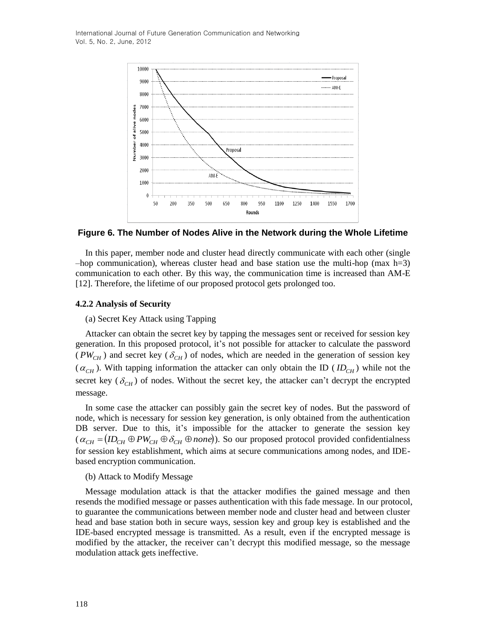International Journal of Future Generation Communication and Networking Vol. 5, No. 2, June, 2012



**Figure 6. The Number of Nodes Alive in the Network during the Whole Lifetime**

In this paper, member node and cluster head directly communicate with each other (single –hop communication), whereas cluster head and base station use the multi-hop (max  $h=3$ ) communication to each other. By this way, the communication time is increased than AM-E [12]. Therefore, the lifetime of our proposed protocol gets prolonged too.

#### **4.2.2 Analysis of Security**

# (a) Secret Key Attack using Tapping

Attacker can obtain the secret key by tapping the messages sent or received for session key generation. In this proposed protocol, it's not possible for attacker to calculate the password ( $PW_{CH}$ ) and secret key ( $\delta_{CH}$ ) of nodes, which are needed in the generation of session key  $(\alpha_{CH})$ . With tapping information the attacker can only obtain the ID (*ID<sub>CH</sub>*) while not the secret key  $(\delta_{CH})$  of nodes. Without the secret key, the attacker can't decrypt the encrypted message.

In some case the attacker can possibly gain the secret key of nodes. But the password of node, which is necessary for session key generation, is only obtained from the authentication DB server. Due to this, it's impossible for the attacker to generate the session key  $(a_{CH} = (ID_{CH} \oplus PW_{CH} \oplus \delta_{CH} \oplus none)$ ). So our proposed protocol provided confidentialness for session key establishment, which aims at secure communications among nodes, and IDEbased encryption communication.

#### (b) Attack to Modify Message

Message modulation attack is that the attacker modifies the gained message and then resends the modified message or passes authentication with this fade message. In our protocol, to guarantee the communications between member node and cluster head and between cluster head and base station both in secure ways, session key and group key is established and the IDE-based encrypted message is transmitted. As a result, even if the encrypted message is modified by the attacker, the receiver can't decrypt this modified message, so the message modulation attack gets ineffective.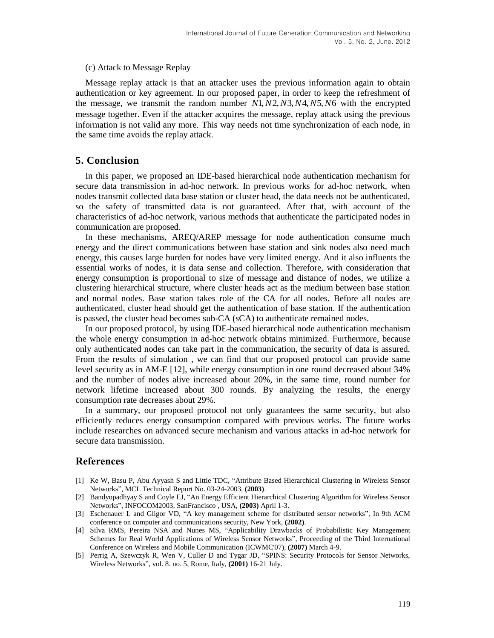#### (c) Attack to Message Replay

Message replay attack is that an attacker uses the previous information again to obtain authentication or key agreement. In our proposed paper, in order to keep the refreshment of the message, we transmit the random number *N*1,*N*2,*N*3,*N*4,*N*5,*N*6 with the encrypted message together. Even if the attacker acquires the message, replay attack using the previous information is not valid any more. This way needs not time synchronization of each node, in the same time avoids the replay attack.

# **5. Conclusion**

In this paper, we proposed an IDE-based hierarchical node authentication mechanism for secure data transmission in ad-hoc network. In previous works for ad-hoc network, when nodes transmit collected data base station or cluster head, the data needs not be authenticated, so the safety of transmitted data is not guaranteed. After that, with account of the characteristics of ad-hoc network, various methods that authenticate the participated nodes in communication are proposed.

In these mechanisms, AREQ/AREP message for node authentication consume much energy and the direct communications between base station and sink nodes also need much energy, this causes large burden for nodes have very limited energy. And it also influents the essential works of nodes, it is data sense and collection. Therefore, with consideration that energy consumption is proportional to size of message and distance of nodes, we utilize a clustering hierarchical structure, where cluster heads act as the medium between base station and normal nodes. Base station takes role of the CA for all nodes. Before all nodes are authenticated, cluster head should get the authentication of base station. If the authentication is passed, the cluster head becomes sub-CA (sCA) to authenticate remained nodes.

In our proposed protocol, by using IDE-based hierarchical node authentication mechanism the whole energy consumption in ad-hoc network obtains minimized. Furthermore, because only authenticated nodes can take part in the communication, the security of data is assured. From the results of simulation , we can find that our proposed protocol can provide same level security as in AM-E [12], while energy consumption in one round decreased about 34% and the number of nodes alive increased about 20%, in the same time, round number for network lifetime increased about 300 rounds. By analyzing the results, the energy consumption rate decreases about 29%.

In a summary, our proposed protocol not only guarantees the same security, but also efficiently reduces energy consumption compared with previous works. The future works include researches on advanced secure mechanism and various attacks in ad-hoc network for secure data transmission.

# **References**

- [1] Ke W, Basu P, Abu Ayyash S and Little TDC, "Attribute Based Hierarchical Clustering in Wireless Sensor Networks", MCL Technical Report No. 03-24-2003, **(2003)**.
- [2] Bandyopadhyay S and Coyle EJ, "An Energy Efficient Hierarchical Clustering Algorithm for Wireless Sensor Networks", INFOCOM2003, SanFrancisco , USA, **(2003)** April 1-3.
- [3] Eschenauer L and Gligor VD, "A key management scheme for distributed sensor networks", In 9th ACM conference on computer and communications security, New York, **(2002)**.
- [4] Silva RMS, Pereira NSA and Nunes MS, "Applicability Drawbacks of Probabilistic Key Management Schemes for Real World Applications of Wireless Sensor Networks", Proceeding of the Third International Conference on Wireless and Mobile Communication (ICWMC'07), **(2007)** March 4-9.
- [5] Perrig A, Szewczyk R, Wen V, Culler D and Tygar JD, "SPINS: Security Protocols for Sensor Networks, Wireless Networks", vol. 8. no. 5, Rome, Italy, **(2001)** 16-21 July.